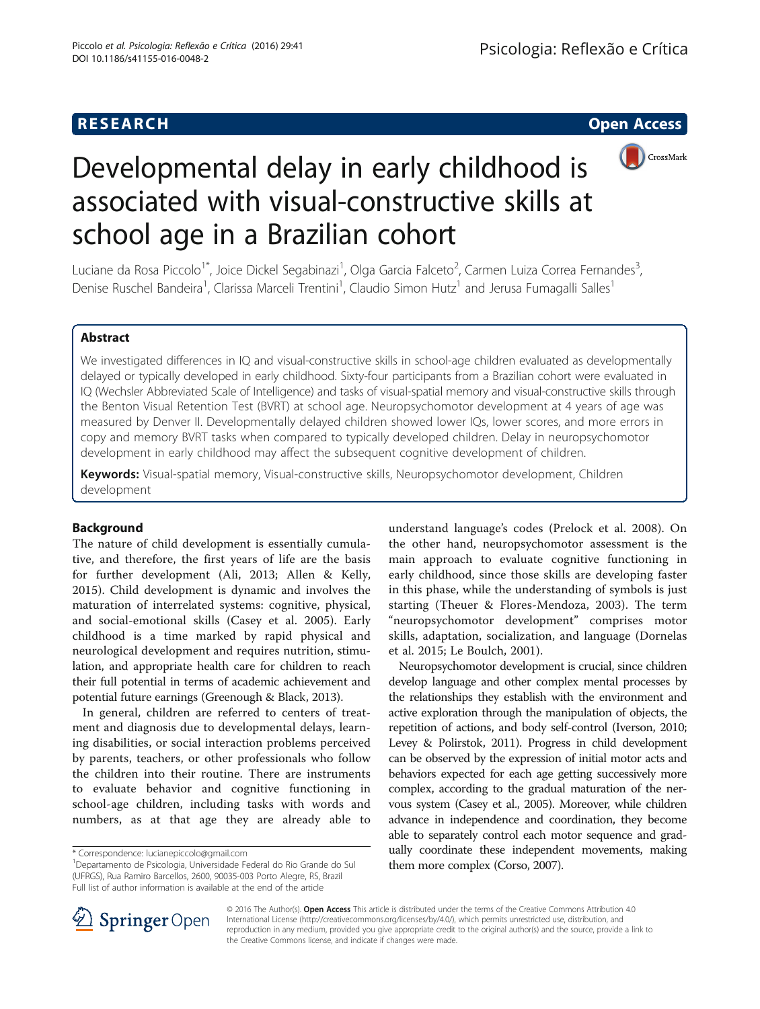**RESEARCH CHE Open Access** 



# Developmental delay in early childhood is associated with visual-constructive skills at school age in a Brazilian cohort

Luciane da Rosa Piccolo<sup>1\*</sup>, Joice Dickel Segabinazi<sup>1</sup>, Olga Garcia Falceto<sup>2</sup>, Carmen Luiza Correa Fernandes<sup>3</sup> , Denise Ruschel Bandeira<sup>1</sup>, Clarissa Marceli Trentini<sup>1</sup>, Claudio Simon Hutz<sup>1</sup> and Jerusa Fumagalli Salles<sup>1</sup>

# Abstract

We investigated differences in IQ and visual-constructive skills in school-age children evaluated as developmentally delayed or typically developed in early childhood. Sixty-four participants from a Brazilian cohort were evaluated in IQ (Wechsler Abbreviated Scale of Intelligence) and tasks of visual-spatial memory and visual-constructive skills through the Benton Visual Retention Test (BVRT) at school age. Neuropsychomotor development at 4 years of age was measured by Denver II. Developmentally delayed children showed lower IQs, lower scores, and more errors in copy and memory BVRT tasks when compared to typically developed children. Delay in neuropsychomotor development in early childhood may affect the subsequent cognitive development of children.

Keywords: Visual-spatial memory, Visual-constructive skills, Neuropsychomotor development, Children development

# Background

The nature of child development is essentially cumulative, and therefore, the first years of life are the basis for further development (Ali, [2013;](#page-6-0) Allen & Kelly, [2015\)](#page-6-0). Child development is dynamic and involves the maturation of interrelated systems: cognitive, physical, and social-emotional skills (Casey et al. [2005\)](#page-6-0). Early childhood is a time marked by rapid physical and neurological development and requires nutrition, stimulation, and appropriate health care for children to reach their full potential in terms of academic achievement and potential future earnings (Greenough & Black, [2013\)](#page-6-0).

In general, children are referred to centers of treatment and diagnosis due to developmental delays, learning disabilities, or social interaction problems perceived by parents, teachers, or other professionals who follow the children into their routine. There are instruments to evaluate behavior and cognitive functioning in school-age children, including tasks with words and numbers, as at that age they are already able to

understand language's codes (Prelock et al. [2008](#page-7-0)). On the other hand, neuropsychomotor assessment is the main approach to evaluate cognitive functioning in early childhood, since those skills are developing faster in this phase, while the understanding of symbols is just starting (Theuer & Flores-Mendoza, [2003\)](#page-7-0). The term "neuropsychomotor development" comprises motor skills, adaptation, socialization, and language (Dornelas et al. [2015;](#page-6-0) Le Boulch, [2001](#page-6-0)).

Neuropsychomotor development is crucial, since children develop language and other complex mental processes by the relationships they establish with the environment and active exploration through the manipulation of objects, the repetition of actions, and body self-control (Iverson, [2010](#page-6-0); Levey & Polirstok, [2011](#page-6-0)). Progress in child development can be observed by the expression of initial motor acts and behaviors expected for each age getting successively more complex, according to the gradual maturation of the nervous system (Casey et al., [2005\)](#page-6-0). Moreover, while children advance in independence and coordination, they become able to separately control each motor sequence and gradually coordinate these independent movements, making them more complex (Corso, [2007\)](#page-6-0).



© 2016 The Author(s). Open Access This article is distributed under the terms of the Creative Commons Attribution 4.0 International License ([http://creativecommons.org/licenses/by/4.0/\)](http://creativecommons.org/licenses/by/4.0/), which permits unrestricted use, distribution, and reproduction in any medium, provided you give appropriate credit to the original author(s) and the source, provide a link to the Creative Commons license, and indicate if changes were made.

<sup>\*</sup> Correspondence: [lucianepiccolo@gmail.com](mailto:lucianepiccolo@gmail.com) <sup>1</sup>

Departamento de Psicologia, Universidade Federal do Rio Grande do Sul (UFRGS), Rua Ramiro Barcellos, 2600, 90035-003 Porto Alegre, RS, Brazil Full list of author information is available at the end of the article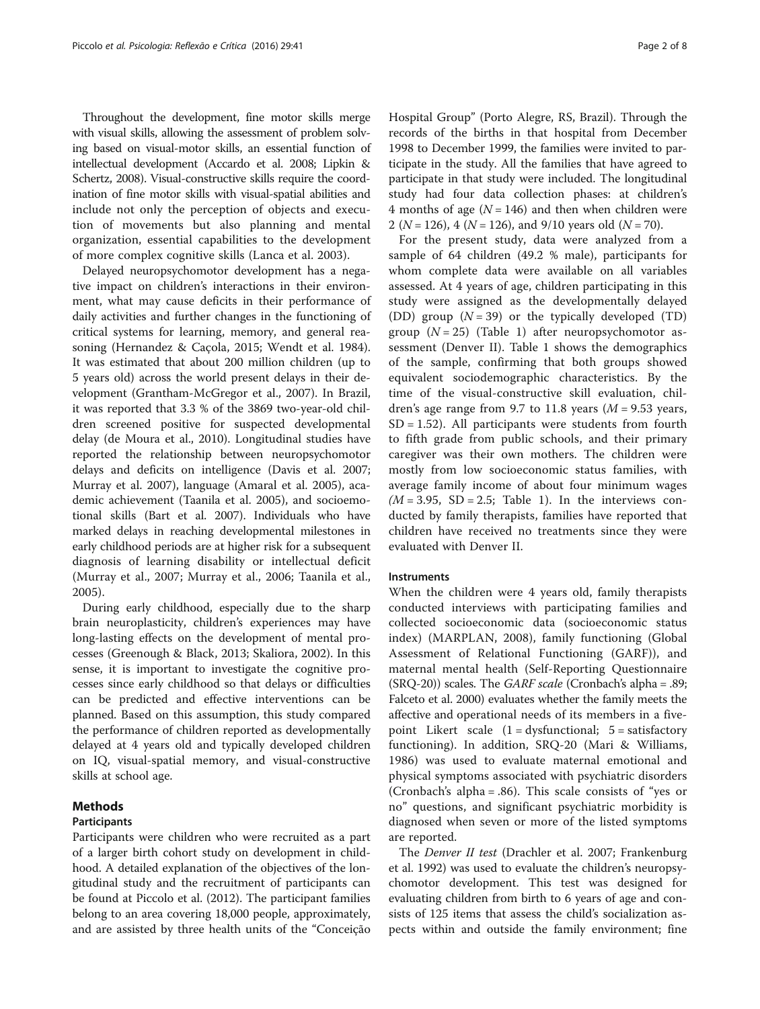Throughout the development, fine motor skills merge with visual skills, allowing the assessment of problem solving based on visual-motor skills, an essential function of intellectual development (Accardo et al. [2008;](#page-6-0) Lipkin & Schertz, [2008\)](#page-6-0). Visual-constructive skills require the coordination of fine motor skills with visual-spatial abilities and include not only the perception of objects and execution of movements but also planning and mental organization, essential capabilities to the development of more complex cognitive skills (Lanca et al. [2003\)](#page-6-0).

Delayed neuropsychomotor development has a negative impact on children's interactions in their environment, what may cause deficits in their performance of daily activities and further changes in the functioning of critical systems for learning, memory, and general reasoning (Hernandez & Caçola, [2015](#page-6-0); Wendt et al. [1984](#page-7-0)). It was estimated that about 200 million children (up to 5 years old) across the world present delays in their development (Grantham-McGregor et al., [2007\)](#page-6-0). In Brazil, it was reported that 3.3 % of the 3869 two-year-old children screened positive for suspected developmental delay (de Moura et al., [2010](#page-6-0)). Longitudinal studies have reported the relationship between neuropsychomotor delays and deficits on intelligence (Davis et al. [2007](#page-6-0); Murray et al. [2007\)](#page-7-0), language (Amaral et al. [2005\)](#page-6-0), academic achievement (Taanila et al. [2005](#page-7-0)), and socioemotional skills (Bart et al. [2007](#page-6-0)). Individuals who have marked delays in reaching developmental milestones in early childhood periods are at higher risk for a subsequent diagnosis of learning disability or intellectual deficit (Murray et al., [2007](#page-7-0); Murray et al., [2006](#page-7-0); Taanila et al., [2005\)](#page-7-0).

During early childhood, especially due to the sharp brain neuroplasticity, children's experiences may have long-lasting effects on the development of mental processes (Greenough & Black, [2013](#page-6-0); Skaliora, [2002\)](#page-7-0). In this sense, it is important to investigate the cognitive processes since early childhood so that delays or difficulties can be predicted and effective interventions can be planned. Based on this assumption, this study compared the performance of children reported as developmentally delayed at 4 years old and typically developed children on IQ, visual-spatial memory, and visual-constructive skills at school age.

# Methods

#### Participants

Participants were children who were recruited as a part of a larger birth cohort study on development in childhood. A detailed explanation of the objectives of the longitudinal study and the recruitment of participants can be found at Piccolo et al. [\(2012\)](#page-7-0). The participant families belong to an area covering 18,000 people, approximately, and are assisted by three health units of the "Conceição Hospital Group" (Porto Alegre, RS, Brazil). Through the records of the births in that hospital from December 1998 to December 1999, the families were invited to participate in the study. All the families that have agreed to participate in that study were included. The longitudinal study had four data collection phases: at children's 4 months of age ( $N = 146$ ) and then when children were 2 ( $N = 126$ ), 4 ( $N = 126$ ), and 9/10 years old ( $N = 70$ ).

For the present study, data were analyzed from a sample of 64 children (49.2 % male), participants for whom complete data were available on all variables assessed. At 4 years of age, children participating in this study were assigned as the developmentally delayed (DD) group  $(N = 39)$  or the typically developed (TD) group  $(N = 25)$  (Table [1](#page-2-0)) after neuropsychomotor assessment (Denver II). Table [1](#page-2-0) shows the demographics of the sample, confirming that both groups showed equivalent sociodemographic characteristics. By the time of the visual-constructive skill evaluation, children's age range from 9.7 to 11.8 years  $(M = 9.53$  years,  $SD = 1.52$ ). All participants were students from fourth to fifth grade from public schools, and their primary caregiver was their own mothers. The children were mostly from low socioeconomic status families, with average family income of about four minimum wages  $(M = 3.95, SD = 2.5; Table 1).$  $(M = 3.95, SD = 2.5; Table 1).$  $(M = 3.95, SD = 2.5; Table 1).$  In the interviews conducted by family therapists, families have reported that children have received no treatments since they were evaluated with Denver II.

#### Instruments

When the children were 4 years old, family therapists conducted interviews with participating families and collected socioeconomic data (socioeconomic status index) (MARPLAN, [2008\)](#page-6-0), family functioning (Global Assessment of Relational Functioning (GARF)), and maternal mental health (Self-Reporting Questionnaire  $(SRQ-20)$ ) scales. The *GARF scale* (Cronbach's alpha = .89; Falceto et al. [2000\)](#page-6-0) evaluates whether the family meets the affective and operational needs of its members in a fivepoint Likert scale  $(1 =$  dysfunctional;  $5 =$  satisfactory functioning). In addition, SRQ-20 (Mari & Williams, [1986\)](#page-6-0) was used to evaluate maternal emotional and physical symptoms associated with psychiatric disorders (Cronbach's alpha = .86). This scale consists of "yes or no" questions, and significant psychiatric morbidity is diagnosed when seven or more of the listed symptoms are reported.

The Denver II test (Drachler et al. [2007](#page-6-0); Frankenburg et al. [1992\)](#page-6-0) was used to evaluate the children's neuropsychomotor development. This test was designed for evaluating children from birth to 6 years of age and consists of 125 items that assess the child's socialization aspects within and outside the family environment; fine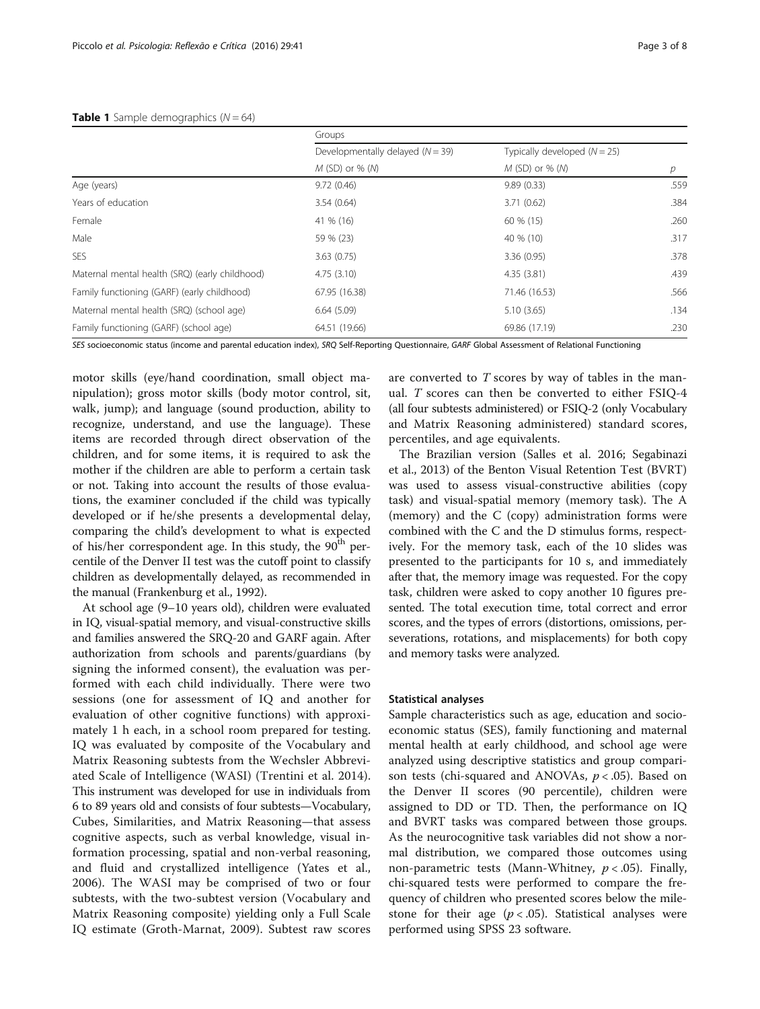#### <span id="page-2-0"></span>**Table 1** Sample demographics  $(N = 64)$

|                                                | Groups                               |                                |      |  |  |
|------------------------------------------------|--------------------------------------|--------------------------------|------|--|--|
|                                                | Developmentally delayed ( $N = 39$ ) | Typically developed $(N = 25)$ | p    |  |  |
|                                                | $M$ (SD) or % (M)                    | M (SD) or % (M)                |      |  |  |
| Age (years)                                    | 9.72(0.46)                           | 9.89(0.33)                     | .559 |  |  |
| Years of education                             | 3.54(0.64)                           | 3.71(0.62)                     | .384 |  |  |
| Female                                         | 41 % (16)                            | 60 % (15)                      | .260 |  |  |
| Male                                           | 59 % (23)                            | 40 % (10)                      | .317 |  |  |
| <b>SES</b>                                     | 3.63(0.75)                           | 3.36(0.95)                     | .378 |  |  |
| Maternal mental health (SRQ) (early childhood) | 4.75(3.10)                           | 4.35(3.81)                     | .439 |  |  |
| Family functioning (GARF) (early childhood)    | 67.95 (16.38)                        | 71.46 (16.53)                  | .566 |  |  |
| Maternal mental health (SRQ) (school age)      | 6.64(5.09)                           | 5.10(3.65)                     | .134 |  |  |
| Family functioning (GARF) (school age)         | 64.51 (19.66)                        | 69.86 (17.19)                  | .230 |  |  |

SES socioeconomic status (income and parental education index), SRQ Self-Reporting Questionnaire, GARF Global Assessment of Relational Functioning

motor skills (eye/hand coordination, small object manipulation); gross motor skills (body motor control, sit, walk, jump); and language (sound production, ability to recognize, understand, and use the language). These items are recorded through direct observation of the children, and for some items, it is required to ask the mother if the children are able to perform a certain task or not. Taking into account the results of those evaluations, the examiner concluded if the child was typically developed or if he/she presents a developmental delay, comparing the child's development to what is expected of his/her correspondent age. In this study, the  $90<sup>th</sup>$  percentile of the Denver II test was the cutoff point to classify children as developmentally delayed, as recommended in the manual (Frankenburg et al., [1992](#page-6-0)).

At school age (9–10 years old), children were evaluated in IQ, visual-spatial memory, and visual-constructive skills and families answered the SRQ-20 and GARF again. After authorization from schools and parents/guardians (by signing the informed consent), the evaluation was performed with each child individually. There were two sessions (one for assessment of IQ and another for evaluation of other cognitive functions) with approximately 1 h each, in a school room prepared for testing. IQ was evaluated by composite of the Vocabulary and Matrix Reasoning subtests from the Wechsler Abbreviated Scale of Intelligence (WASI) (Trentini et al. [2014](#page-7-0)). This instrument was developed for use in individuals from 6 to 89 years old and consists of four subtests—Vocabulary, Cubes, Similarities, and Matrix Reasoning—that assess cognitive aspects, such as verbal knowledge, visual information processing, spatial and non-verbal reasoning, and fluid and crystallized intelligence (Yates et al., [2006\)](#page-7-0). The WASI may be comprised of two or four subtests, with the two-subtest version (Vocabulary and Matrix Reasoning composite) yielding only a Full Scale IQ estimate (Groth-Marnat, [2009\)](#page-6-0). Subtest raw scores are converted to T scores by way of tables in the manual. T scores can then be converted to either FSIQ-4 (all four subtests administered) or FSIQ-2 (only Vocabulary and Matrix Reasoning administered) standard scores, percentiles, and age equivalents.

The Brazilian version (Salles et al. [2016](#page-7-0); Segabinazi et al., [2013](#page-7-0)) of the Benton Visual Retention Test (BVRT) was used to assess visual-constructive abilities (copy task) and visual-spatial memory (memory task). The A (memory) and the C (copy) administration forms were combined with the C and the D stimulus forms, respectively. For the memory task, each of the 10 slides was presented to the participants for 10 s, and immediately after that, the memory image was requested. For the copy task, children were asked to copy another 10 figures presented. The total execution time, total correct and error scores, and the types of errors (distortions, omissions, perseverations, rotations, and misplacements) for both copy and memory tasks were analyzed.

#### Statistical analyses

Sample characteristics such as age, education and socioeconomic status (SES), family functioning and maternal mental health at early childhood, and school age were analyzed using descriptive statistics and group comparison tests (chi-squared and ANOVAs,  $p < .05$ ). Based on the Denver II scores (90 percentile), children were assigned to DD or TD. Then, the performance on IQ and BVRT tasks was compared between those groups. As the neurocognitive task variables did not show a normal distribution, we compared those outcomes using non-parametric tests (Mann-Whitney,  $p < .05$ ). Finally, chi-squared tests were performed to compare the frequency of children who presented scores below the milestone for their age ( $p < .05$ ). Statistical analyses were performed using SPSS 23 software.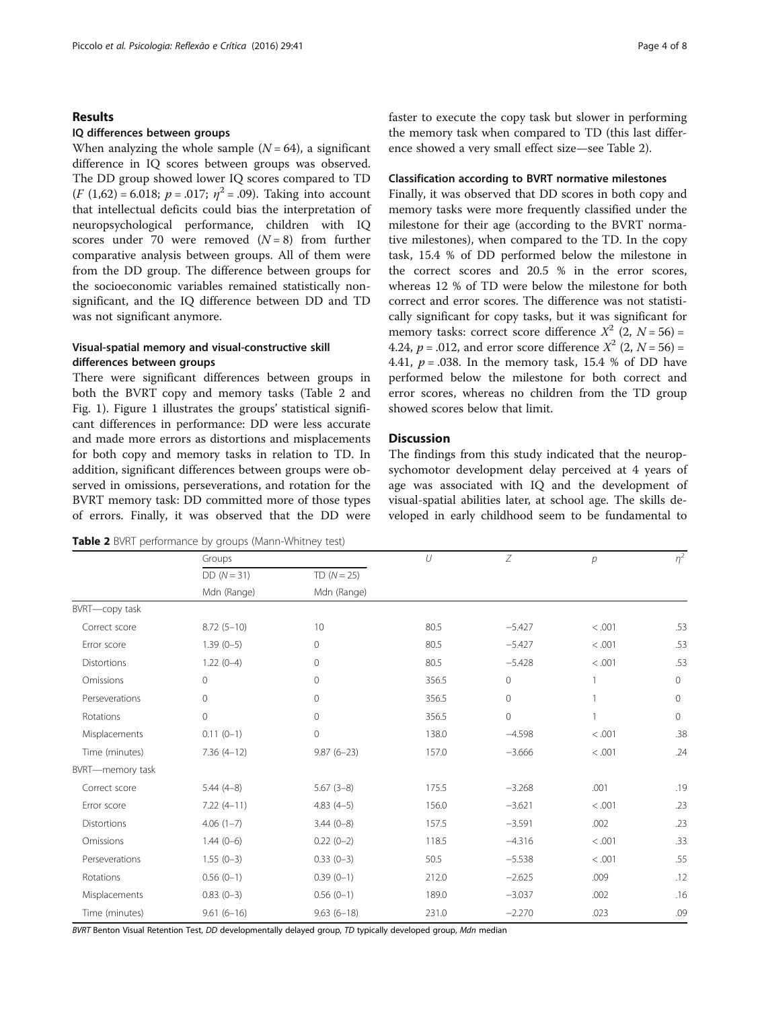#### Results

#### IQ differences between groups

When analyzing the whole sample  $(N = 64)$ , a significant difference in IQ scores between groups was observed. The DD group showed lower IQ scores compared to TD  $(F (1,62) = 6.018; p = .017; \eta^2 = .09)$ . Taking into account that intellectual deficits could bias the interpretation of neuropsychological performance, children with IQ scores under 70 were removed  $(N = 8)$  from further comparative analysis between groups. All of them were from the DD group. The difference between groups for the socioeconomic variables remained statistically nonsignificant, and the IQ difference between DD and TD was not significant anymore.

# Visual-spatial memory and visual-constructive skill differences between groups

There were significant differences between groups in both the BVRT copy and memory tasks (Table 2 and Fig. [1](#page-4-0)). Figure [1](#page-4-0) illustrates the groups' statistical significant differences in performance: DD were less accurate and made more errors as distortions and misplacements for both copy and memory tasks in relation to TD. In addition, significant differences between groups were observed in omissions, perseverations, and rotation for the BVRT memory task: DD committed more of those types of errors. Finally, it was observed that the DD were

Table 2 BVRT performance by groups (Mann-Whitney test)

faster to execute the copy task but slower in performing the memory task when compared to TD (this last difference showed a very small effect size—see Table 2).

#### Classification according to BVRT normative milestones

Finally, it was observed that DD scores in both copy and memory tasks were more frequently classified under the milestone for their age (according to the BVRT normative milestones), when compared to the TD. In the copy task, 15.4 % of DD performed below the milestone in the correct scores and 20.5 % in the error scores, whereas 12 % of TD were below the milestone for both correct and error scores. The difference was not statistically significant for copy tasks, but it was significant for memory tasks: correct score difference  $X^2$  (2,  $N = 56$ ) = 4.24,  $p = .012$ , and error score difference  $X^2$  (2,  $N = 56$ ) = 4.41,  $p = .038$ . In the memory task, 15.4 % of DD have performed below the milestone for both correct and error scores, whereas no children from the TD group showed scores below that limit.

# Discussion

The findings from this study indicated that the neuropsychomotor development delay perceived at 4 years of age was associated with IQ and the development of visual-spatial abilities later, at school age. The skills developed in early childhood seem to be fundamental to

|                  | Groups                    |                           | $\iota$ | Z        | p      | $\eta^2$     |
|------------------|---------------------------|---------------------------|---------|----------|--------|--------------|
|                  | $DD(N=31)$<br>Mdn (Range) | $TD(N=25)$<br>Mdn (Range) |         |          |        |              |
|                  |                           |                           |         |          |        |              |
| BVRT-copy task   |                           |                           |         |          |        |              |
| Correct score    | $8.72(5-10)$              | 10                        | 80.5    | $-5.427$ | < .001 | .53          |
| Error score      | $1.39(0-5)$               | $\mathbf 0$               | 80.5    | $-5.427$ | < .001 | .53          |
| Distortions      | $1.22(0-4)$               | $\mathbf{0}$              | 80.5    | $-5.428$ | < .001 | .53          |
| Omissions        | $\circ$                   | $\mathbf{0}$              | 356.5   | $\circ$  | 1      | $\circ$      |
| Perseverations   | $\mathsf{O}\xspace$       | $\mathbf{0}$              | 356.5   | $\circ$  |        | $\mathbf{0}$ |
| Rotations        | $\mathbf 0$               | $\mathbf{0}$              | 356.5   | $\circ$  | 1      | $\circ$      |
| Misplacements    | $0.11(0-1)$               | $\mathbf 0$               | 138.0   | $-4.598$ | < .001 | .38          |
| Time (minutes)   | $7.36(4-12)$              | $9.87(6-23)$              | 157.0   | $-3.666$ | < .001 | .24          |
| BVRT-memory task |                           |                           |         |          |        |              |
| Correct score    | $5.44(4-8)$               | $5.67(3-8)$               | 175.5   | $-3.268$ | .001   | .19          |
| Error score      | $7.22(4-11)$              | $4.83(4-5)$               | 156.0   | $-3.621$ | < .001 | .23          |
| Distortions      | $4.06(1-7)$               | $3.44(0-8)$               | 157.5   | $-3.591$ | .002   | .23          |
| Omissions        | $1.44(0-6)$               | $0.22(0-2)$               | 118.5   | $-4.316$ | < .001 | .33          |
| Perseverations   | $1.55(0-3)$               | $0.33(0-3)$               | 50.5    | $-5.538$ | < .001 | .55          |
| Rotations        | $0.56(0-1)$               | $0.39(0-1)$               | 212.0   | $-2.625$ | .009   | .12          |
| Misplacements    | $0.83(0-3)$               | $0.56(0-1)$               | 189.0   | $-3.037$ | .002   | .16          |
| Time (minutes)   | $9.61(6-16)$              | $9.63(6-18)$              | 231.0   | $-2.270$ | .023   | .09          |

BVRT Benton Visual Retention Test, DD developmentally delayed group, TD typically developed group, Mdn median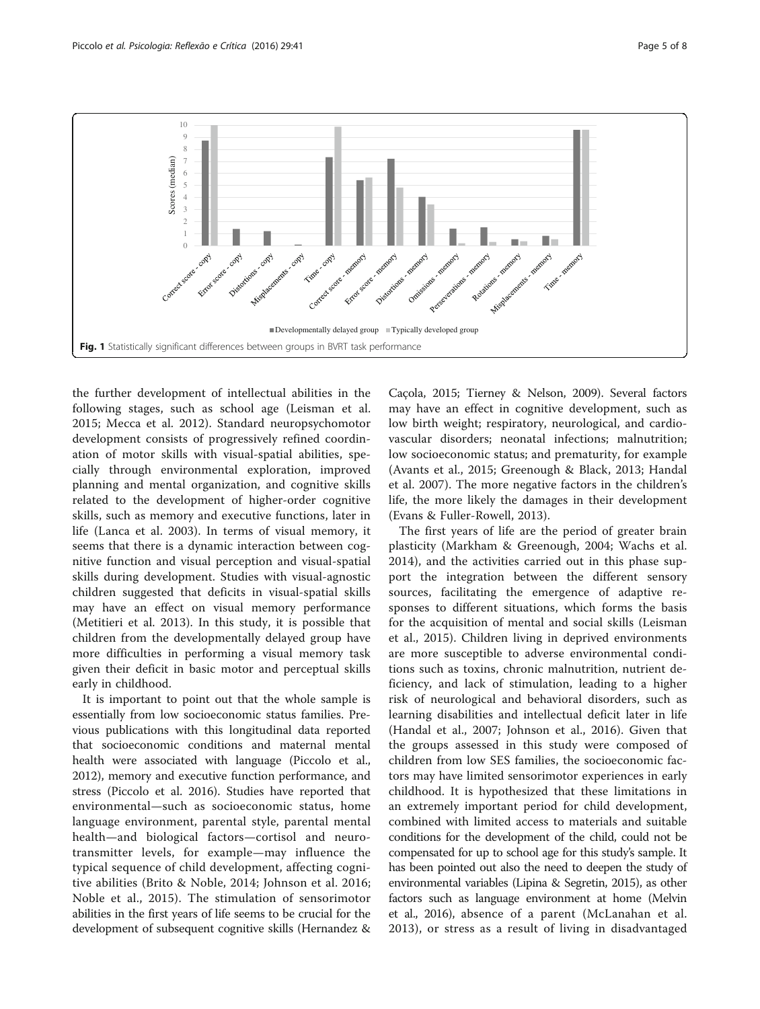<span id="page-4-0"></span>

the further development of intellectual abilities in the following stages, such as school age (Leisman et al. [2015;](#page-6-0) Mecca et al. [2012](#page-7-0)). Standard neuropsychomotor development consists of progressively refined coordination of motor skills with visual-spatial abilities, specially through environmental exploration, improved planning and mental organization, and cognitive skills related to the development of higher-order cognitive skills, such as memory and executive functions, later in life (Lanca et al. [2003\)](#page-6-0). In terms of visual memory, it seems that there is a dynamic interaction between cognitive function and visual perception and visual-spatial skills during development. Studies with visual-agnostic children suggested that deficits in visual-spatial skills may have an effect on visual memory performance (Metitieri et al. [2013\)](#page-7-0). In this study, it is possible that children from the developmentally delayed group have more difficulties in performing a visual memory task given their deficit in basic motor and perceptual skills early in childhood.

It is important to point out that the whole sample is essentially from low socioeconomic status families. Previous publications with this longitudinal data reported that socioeconomic conditions and maternal mental health were associated with language (Piccolo et al., [2012](#page-7-0)), memory and executive function performance, and stress (Piccolo et al. [2016](#page-7-0)). Studies have reported that environmental—such as socioeconomic status, home language environment, parental style, parental mental health—and biological factors—cortisol and neurotransmitter levels, for example—may influence the typical sequence of child development, affecting cognitive abilities (Brito & Noble, [2014;](#page-6-0) Johnson et al. [2016](#page-6-0); Noble et al., [2015\)](#page-7-0). The stimulation of sensorimotor abilities in the first years of life seems to be crucial for the development of subsequent cognitive skills (Hernandez &

Caçola, [2015](#page-6-0); Tierney & Nelson, [2009](#page-7-0)). Several factors may have an effect in cognitive development, such as low birth weight; respiratory, neurological, and cardiovascular disorders; neonatal infections; malnutrition; low socioeconomic status; and prematurity, for example (Avants et al., [2015;](#page-6-0) Greenough & Black, [2013;](#page-6-0) Handal et al. [2007](#page-6-0)). The more negative factors in the children's life, the more likely the damages in their development (Evans & Fuller-Rowell, [2013\)](#page-6-0).

The first years of life are the period of greater brain plasticity (Markham & Greenough, [2004](#page-6-0); Wachs et al. [2014\)](#page-7-0), and the activities carried out in this phase support the integration between the different sensory sources, facilitating the emergence of adaptive responses to different situations, which forms the basis for the acquisition of mental and social skills (Leisman et al., [2015](#page-6-0)). Children living in deprived environments are more susceptible to adverse environmental conditions such as toxins, chronic malnutrition, nutrient deficiency, and lack of stimulation, leading to a higher risk of neurological and behavioral disorders, such as learning disabilities and intellectual deficit later in life (Handal et al., [2007;](#page-6-0) Johnson et al., [2016](#page-6-0)). Given that the groups assessed in this study were composed of children from low SES families, the socioeconomic factors may have limited sensorimotor experiences in early childhood. It is hypothesized that these limitations in an extremely important period for child development, combined with limited access to materials and suitable conditions for the development of the child, could not be compensated for up to school age for this study's sample. It has been pointed out also the need to deepen the study of environmental variables (Lipina & Segretin, [2015](#page-6-0)), as other factors such as language environment at home (Melvin et al., [2016](#page-7-0)), absence of a parent (McLanahan et al. [2013](#page-7-0)), or stress as a result of living in disadvantaged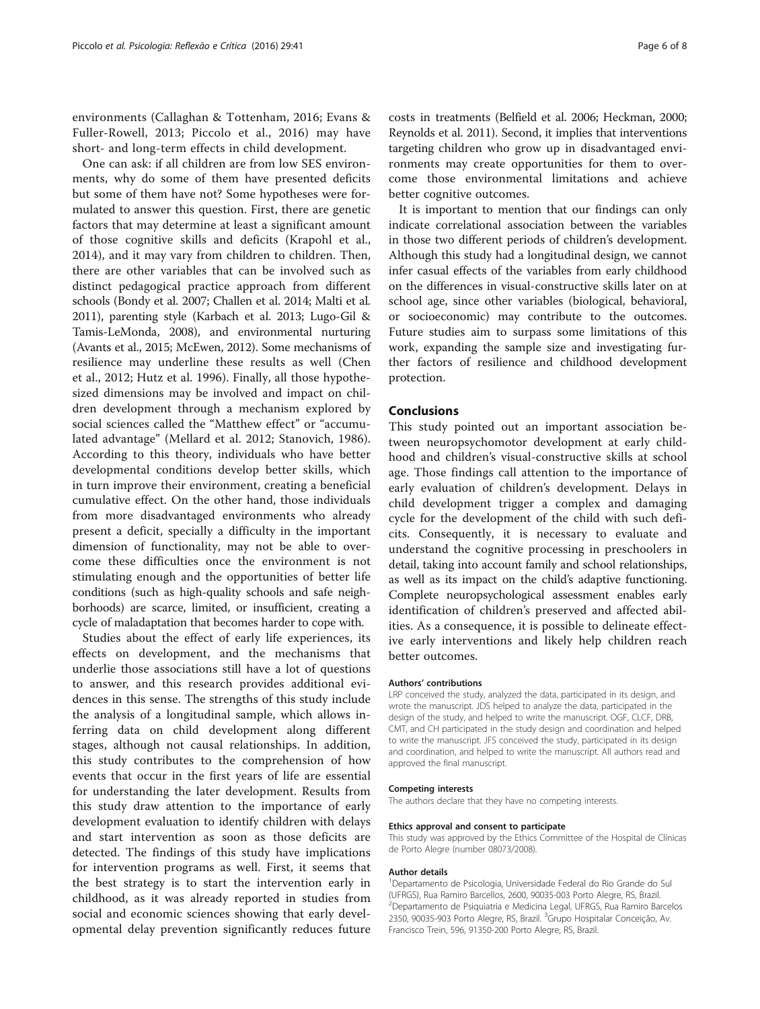environments (Callaghan & Tottenham, [2016](#page-6-0); Evans & Fuller-Rowell, [2013](#page-6-0); Piccolo et al., [2016\)](#page-7-0) may have short- and long-term effects in child development.

One can ask: if all children are from low SES environments, why do some of them have presented deficits but some of them have not? Some hypotheses were formulated to answer this question. First, there are genetic factors that may determine at least a significant amount of those cognitive skills and deficits (Krapohl et al., [2014\)](#page-6-0), and it may vary from children to children. Then, there are other variables that can be involved such as distinct pedagogical practice approach from different schools (Bondy et al. [2007](#page-6-0); Challen et al. [2014](#page-6-0); Malti et al. [2011\)](#page-6-0), parenting style (Karbach et al. [2013](#page-6-0); Lugo-Gil & Tamis-LeMonda, [2008\)](#page-6-0), and environmental nurturing (Avants et al., [2015](#page-6-0); McEwen, [2012](#page-7-0)). Some mechanisms of resilience may underline these results as well (Chen et al., [2012](#page-6-0); Hutz et al. [1996](#page-6-0)). Finally, all those hypothesized dimensions may be involved and impact on children development through a mechanism explored by social sciences called the "Matthew effect" or "accumulated advantage" (Mellard et al. [2012;](#page-7-0) Stanovich, [1986](#page-7-0)). According to this theory, individuals who have better developmental conditions develop better skills, which in turn improve their environment, creating a beneficial cumulative effect. On the other hand, those individuals from more disadvantaged environments who already present a deficit, specially a difficulty in the important dimension of functionality, may not be able to overcome these difficulties once the environment is not stimulating enough and the opportunities of better life conditions (such as high-quality schools and safe neighborhoods) are scarce, limited, or insufficient, creating a cycle of maladaptation that becomes harder to cope with.

Studies about the effect of early life experiences, its effects on development, and the mechanisms that underlie those associations still have a lot of questions to answer, and this research provides additional evidences in this sense. The strengths of this study include the analysis of a longitudinal sample, which allows inferring data on child development along different stages, although not causal relationships. In addition, this study contributes to the comprehension of how events that occur in the first years of life are essential for understanding the later development. Results from this study draw attention to the importance of early development evaluation to identify children with delays and start intervention as soon as those deficits are detected. The findings of this study have implications for intervention programs as well. First, it seems that the best strategy is to start the intervention early in childhood, as it was already reported in studies from social and economic sciences showing that early developmental delay prevention significantly reduces future costs in treatments (Belfield et al. [2006](#page-6-0); Heckman, [2000](#page-6-0); Reynolds et al. [2011](#page-7-0)). Second, it implies that interventions targeting children who grow up in disadvantaged environments may create opportunities for them to overcome those environmental limitations and achieve better cognitive outcomes.

It is important to mention that our findings can only indicate correlational association between the variables in those two different periods of children's development. Although this study had a longitudinal design, we cannot infer casual effects of the variables from early childhood on the differences in visual-constructive skills later on at school age, since other variables (biological, behavioral, or socioeconomic) may contribute to the outcomes. Future studies aim to surpass some limitations of this work, expanding the sample size and investigating further factors of resilience and childhood development protection.

#### Conclusions

This study pointed out an important association between neuropsychomotor development at early childhood and children's visual-constructive skills at school age. Those findings call attention to the importance of early evaluation of children's development. Delays in child development trigger a complex and damaging cycle for the development of the child with such deficits. Consequently, it is necessary to evaluate and understand the cognitive processing in preschoolers in detail, taking into account family and school relationships, as well as its impact on the child's adaptive functioning. Complete neuropsychological assessment enables early identification of children's preserved and affected abilities. As a consequence, it is possible to delineate effective early interventions and likely help children reach better outcomes.

#### Authors' contributions

LRP conceived the study, analyzed the data, participated in its design, and wrote the manuscript. JDS helped to analyze the data, participated in the design of the study, and helped to write the manuscript. OGE, CLCE, DRB, CMT, and CH participated in the study design and coordination and helped to write the manuscript. JFS conceived the study, participated in its design and coordination, and helped to write the manuscript. All authors read and approved the final manuscript.

#### Competing interests

The authors declare that they have no competing interests.

#### Ethics approval and consent to participate

This study was approved by the Ethics Committee of the Hospital de Clínicas de Porto Alegre (number 08073/2008).

#### Author details

<sup>1</sup>Departamento de Psicologia, Universidade Federal do Rio Grande do Sul (UFRGS), Rua Ramiro Barcellos, 2600, 90035-003 Porto Alegre, RS, Brazil. 2 Departamento de Psiquiatria e Medicina Legal, UFRGS, Rua Ramiro Barcelos 2350, 90035-903 Porto Alegre, RS, Brazil. <sup>3</sup>Grupo Hospitalar Conceição, Av. Francisco Trein, 596, 91350-200 Porto Alegre, RS, Brazil.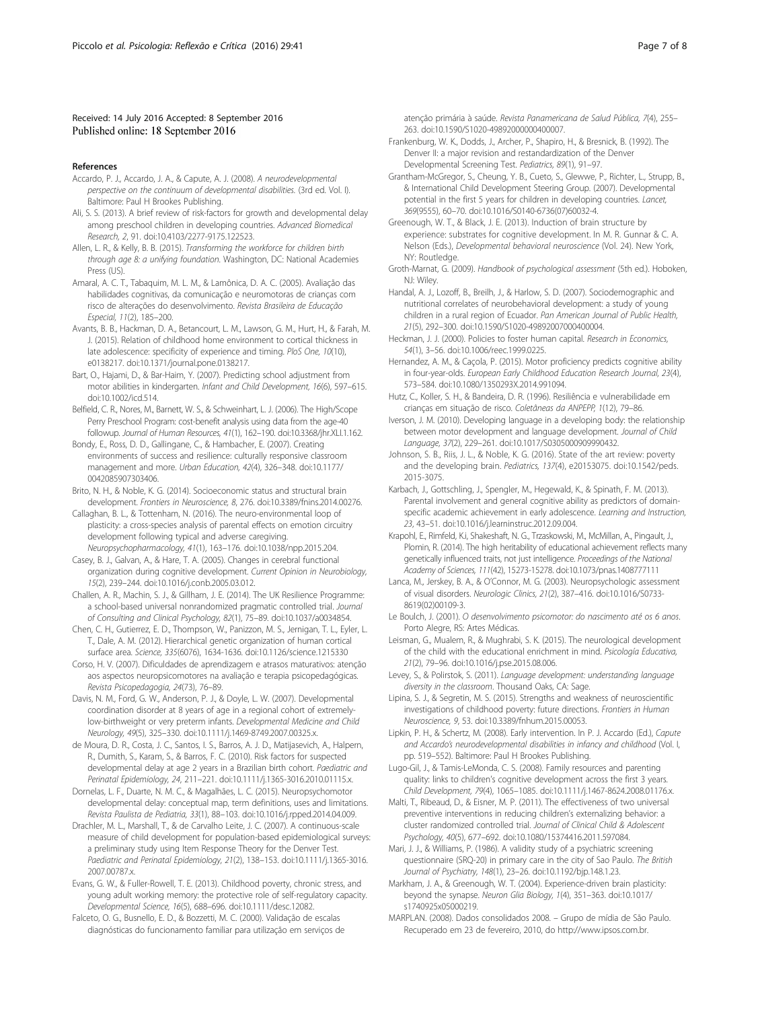#### <span id="page-6-0"></span>Received: 14 July 2016 Accepted: 8 September 2016 Published online: 18 September 2016

#### References

- Accardo, P. J., Accardo, J. A., & Capute, A. J. (2008). A neurodevelopmental perspective on the continuum of developmental disabilities. (3rd ed. Vol. I). Baltimore: Paul H Brookes Publishing.
- Ali, S. S. (2013). A brief review of risk-factors for growth and developmental delay among preschool children in developing countries. Advanced Biomedical Research, 2, 91. doi[:10.4103/2277-9175.122523](http://dx.doi.org/10.4103/2277-9175.122523).
- Allen, L. R., & Kelly, B. B. (2015). Transforming the workforce for children birth through age 8: a unifying foundation. Washington, DC: National Academies Press (US).
- Amaral, A. C. T., Tabaquim, M. L. M., & Lamônica, D. A. C. (2005). Avaliação das habilidades cognitivas, da comunicação e neuromotoras de crianças com risco de alterações do desenvolvimento. Revista Brasileira de Educação Especial, 11(2), 185–200.
- Avants, B. B., Hackman, D. A., Betancourt, L. M., Lawson, G. M., Hurt, H., & Farah, M. J. (2015). Relation of childhood home environment to cortical thickness in late adolescence: specificity of experience and timing. PloS One, 10(10), e0138217. doi:[10.1371/journal.pone.0138217](http://dx.doi.org/10.1371/journal.pone.0138217).
- Bart, O., Hajami, D., & Bar-Haim, Y. (2007). Predicting school adjustment from motor abilities in kindergarten. Infant and Child Development, 16(6), 597–615. doi[:10.1002/icd.514](http://dx.doi.org/10.1002/icd.514).
- Belfield, C. R., Nores, M., Barnett, W. S., & Schweinhart, L. J. (2006). The High/Scope Perry Preschool Program: cost-benefit analysis using data from the age-40 followup. Journal of Human Resources, 41(1), 162–190. doi:[10.3368/jhr.XLI.1.162](http://dx.doi.org/10.3368/jhr.XLI.1.162).
- Bondy, E., Ross, D. D., Gallingane, C., & Hambacher, E. (2007). Creating environments of success and resilience: culturally responsive classroom management and more. Urban Education, 42(4), 326–348. doi[:10.1177/](http://dx.doi.org/10.1177/0042085907303406) [0042085907303406](http://dx.doi.org/10.1177/0042085907303406).
- Brito, N. H., & Noble, K. G. (2014). Socioeconomic status and structural brain development. Frontiers in Neuroscience, 8, 276. doi[:10.3389/fnins.2014.00276.](http://dx.doi.org/10.3389/fnins.2014.00276)
- Callaghan, B. L., & Tottenham, N. (2016). The neuro-environmental loop of plasticity: a cross-species analysis of parental effects on emotion circuitry development following typical and adverse caregiving. Neuropsychopharmacology, 41(1), 163–176. doi:[10.1038/npp.2015.204.](http://dx.doi.org/10.1038/npp.2015.204)
- Casey, B. J., Galvan, A., & Hare, T. A. (2005). Changes in cerebral functional organization during cognitive development. Current Opinion in Neurobiology, 15(2), 239–244. doi[:10.1016/j.conb.2005.03.012.](http://dx.doi.org/10.1016/j.conb.2005.03.012)
- Challen, A. R., Machin, S. J., & Gillham, J. E. (2014). The UK Resilience Programme: a school-based universal nonrandomized pragmatic controlled trial. Journal of Consulting and Clinical Psychology, 82(1), 75–89. doi[:10.1037/a0034854](http://dx.doi.org/10.1037/a0034854).
- Chen, C. H., Gutierrez, E. D., Thompson, W., Panizzon, M. S., Jernigan, T. L., Eyler, L. T., Dale, A. M. (2012). Hierarchical genetic organization of human cortical surface area. Science, 335(6076), 1634-1636. doi:[10.1126/science.1215330](http://dx.doi.org/10.1126/science.1215330)
- Corso, H. V. (2007). Dificuldades de aprendizagem e atrasos maturativos: atenção aos aspectos neuropsicomotores na avaliação e terapia psicopedagógicas. Revista Psicopedagogia, 24(73), 76–89.
- Davis, N. M., Ford, G. W., Anderson, P. J., & Doyle, L. W. (2007). Developmental coordination disorder at 8 years of age in a regional cohort of extremelylow-birthweight or very preterm infants. Developmental Medicine and Child Neurology, 49(5), 325–330. doi[:10.1111/j.1469-8749.2007.00325.x.](http://dx.doi.org/10.1111/j.1469-8749.2007.00325.x)
- de Moura, D. R., Costa, J. C., Santos, I. S., Barros, A. J. D., Matijasevich, A., Halpern, R., Dumith, S., Karam, S., & Barros, F. C. (2010). Risk factors for suspected developmental delay at age 2 years in a Brazilian birth cohort. Paediatric and Perinatal Epidemiology, 24, 211–221. doi[:10.1111/j.1365-3016.2010.01115.x.](http://dx.doi.org/10.1111/j.1365-3016.2010.01115.x)
- Dornelas, L. F., Duarte, N. M. C., & Magalhães, L. C. (2015). Neuropsychomotor developmental delay: conceptual map, term definitions, uses and limitations. Revista Paulista de Pediatria, 33(1), 88–103. doi[:10.1016/j.rpped.2014.04.009](http://dx.doi.org/10.1016/j.rpped.2014.04.009).
- Drachler, M. L., Marshall, T., & de Carvalho Leite, J. C. (2007). A continuous-scale measure of child development for population-based epidemiological surveys: a preliminary study using Item Response Theory for the Denver Test. Paediatric and Perinatal Epidemiology, 21(2), 138–153. doi[:10.1111/j.1365-3016.](http://dx.doi.org/10.1111/j.1365-3016.2007.00787.x) [2007.00787.x.](http://dx.doi.org/10.1111/j.1365-3016.2007.00787.x)
- Evans, G. W., & Fuller-Rowell, T. E. (2013). Childhood poverty, chronic stress, and young adult working memory: the protective role of self-regulatory capacity. Developmental Science, 16(5), 688–696. doi:[10.1111/desc.12082](http://dx.doi.org/10.1111/desc.12082).
- Falceto, O. G., Busnello, E. D., & Bozzetti, M. C. (2000). Validação de escalas diagnósticas do funcionamento familiar para utilização em serviços de

atenção primária à saúde. Revista Panamericana de Salud Pública, 7(4), 255– 263. doi:[10.1590/S1020-49892000000400007.](http://dx.doi.org/10.1590/S1020-49892000000400007)

- Frankenburg, W. K., Dodds, J., Archer, P., Shapiro, H., & Bresnick, B. (1992). The Denver II: a major revision and restandardization of the Denver Developmental Screening Test. Pediatrics, 89(1), 91–97.
- Grantham-McGregor, S., Cheung, Y. B., Cueto, S., Glewwe, P., Richter, L., Strupp, B., & International Child Development Steering Group. (2007). Developmental potential in the first 5 years for children in developing countries. Lancet, 369(9555), 60–70. doi[:10.1016/S0140-6736\(07\)60032-4.](http://dx.doi.org/10.1016/S0140-6736(07)60032-4)
- Greenough, W. T., & Black, J. E. (2013). Induction of brain structure by experience: substrates for cognitive development. In M. R. Gunnar & C. A. Nelson (Eds.), Developmental behavioral neuroscience (Vol. 24). New York, NY: Routledge.
- Groth-Marnat, G. (2009). Handbook of psychological assessment (5th ed.). Hoboken, NJ: Wiley.
- Handal, A. J., Lozoff, B., Breilh, J., & Harlow, S. D. (2007). Sociodemographic and nutritional correlates of neurobehavioral development: a study of young children in a rural region of Ecuador. Pan American Journal of Public Health, 21(5), 292–300. doi[:10.1590/S1020-49892007000400004](http://dx.doi.org/10.1590/S1020-49892007000400004).
- Heckman, J. J. (2000). Policies to foster human capital. Research in Economics, 54(1), 3–56. doi[:10.1006/reec.1999.0225.](http://dx.doi.org/10.1006/reec.1999.0225)
- Hernandez, A. M., & Caçola, P. (2015). Motor proficiency predicts cognitive ability in four-year-olds. European Early Childhood Education Research Journal, 23(4), 573–584. doi[:10.1080/1350293X.2014.991094.](http://dx.doi.org/10.1080/1350293X.2014.991094)
- Hutz, C., Koller, S. H., & Bandeira, D. R. (1996). Resiliência e vulnerabilidade em crianças em situação de risco. Coletâneas da ANPEPP, 1(12), 79–86.
- Iverson, J. M. (2010). Developing language in a developing body: the relationship between motor development and language development. Journal of Child Language, 37(2), 229–261. doi:[10.1017/S0305000909990432.](http://dx.doi.org/10.1017/S0305000909990432)
- Johnson, S. B., Riis, J. L., & Noble, K. G. (2016). State of the art review: poverty and the developing brain. Pediatrics, 137(4), e20153075. doi:[10.1542/peds.](http://dx.doi.org/10.1542/peds.2015-3075) [2015-3075.](http://dx.doi.org/10.1542/peds.2015-3075)
- Karbach, J., Gottschling, J., Spengler, M., Hegewald, K., & Spinath, F. M. (2013). Parental involvement and general cognitive ability as predictors of domainspecific academic achievement in early adolescence. Learning and Instruction, 23, 43–51. doi[:10.1016/j.learninstruc.2012.09.004](http://dx.doi.org/10.1016/j.learninstruc.2012.09.004).
- Krapohl, E., Rimfeld, K.i, Shakeshaft, N. G., Trzaskowski, M., McMillan, A., Pingault, J., Plomin, R. (2014). The high heritability of educational achievement reflects many genetically influenced traits, not just intelligence. Proceedings of the National Academy of Sciences, 111(42), 15273-15278. doi:[10.1073/pnas.1408777111](http://dx.doi.org/10.1073/pnas.1408777111)
- Lanca, M., Jerskey, B. A., & O'Connor, M. G. (2003). Neuropsychologic assessment of visual disorders. Neurologic Clinics, 21(2), 387–416. doi:[10.1016/S0733-](http://dx.doi.org/10.1016/S0733-8619(02)00109-3) [8619\(02\)00109-3](http://dx.doi.org/10.1016/S0733-8619(02)00109-3).
- Le Boulch, J. (2001). O desenvolvimento psicomotor: do nascimento até os 6 anos. Porto Alegre, RS: Artes Médicas.
- Leisman, G., Mualem, R., & Mughrabi, S. K. (2015). The neurological development of the child with the educational enrichment in mind. Psicología Educativa, 21(2), 79–96. doi:[10.1016/j.pse.2015.08.006](http://dx.doi.org/10.1016/j.pse.2015.08.006).
- Levey, S., & Polirstok, S. (2011). Language development: understanding language diversity in the classroom. Thousand Oaks, CA: Sage.
- Lipina, S. J., & Segretin, M. S. (2015). Strengths and weakness of neuroscientific investigations of childhood poverty: future directions. Frontiers in Human Neuroscience, 9, 53. doi:[10.3389/fnhum.2015.00053.](http://dx.doi.org/10.3389/fnhum.2015.00053)
- Lipkin, P. H., & Schertz, M. (2008). Early intervention. In P. J. Accardo (Ed.), Capute and Accardo's neurodevelopmental disabilities in infancy and childhood (Vol. I, pp. 519–552). Baltimore: Paul H Brookes Publishing.
- Lugo-Gil, J., & Tamis-LeMonda, C. S. (2008). Family resources and parenting quality: links to children's cognitive development across the first 3 years. Child Development, 79(4), 1065–1085. doi:[10.1111/j.1467-8624.2008.01176.x](http://dx.doi.org/10.1111/j.1467-8624.2008.01176.x).
- Malti, T., Ribeaud, D., & Eisner, M. P. (2011). The effectiveness of two universal preventive interventions in reducing children's externalizing behavior: a cluster randomized controlled trial. Journal of Clinical Child & Adolescent Psychology, 40(5), 677–692. doi:[10.1080/15374416.2011.597084.](http://dx.doi.org/10.1080/15374416.2011.597084)
- Mari, J. J., & Williams, P. (1986). A validity study of a psychiatric screening questionnaire (SRQ-20) in primary care in the city of Sao Paulo. The British Journal of Psychiatry, 148(1), 23–26. doi:[10.1192/bjp.148.1.23](http://dx.doi.org/10.1192/bjp.148.1.23).
- Markham, J. A., & Greenough, W. T. (2004). Experience-driven brain plasticity: beyond the synapse. Neuron Glia Biology, 1(4), 351–363. doi[:10.1017/](http://dx.doi.org/10.1017/s1740925x05000219) [s1740925x05000219.](http://dx.doi.org/10.1017/s1740925x05000219)
- MARPLAN. (2008). Dados consolidados 2008. Grupo de mídia de São Paulo. Recuperado em 23 de fevereiro, 2010, do<http://www.ipsos.com.br>.